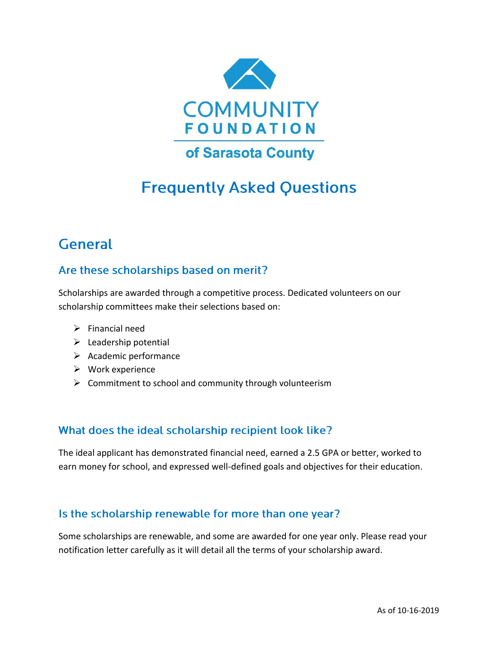

# **Frequently Asked Questions**

## **General**

### Are these scholarships based on merit?

Scholarships are awarded through a competitive process. Dedicated volunteers on our scholarship committees make their selections based on:

- $\triangleright$  Financial need
- $\blacktriangleright$  Leadership potential
- ➢ Academic performance
- ➢ Work experience
- $\triangleright$  Commitment to school and community through volunteerism

#### What does the ideal scholarship recipient look like?

The ideal applicant has demonstrated financial need, earned a 2.5 GPA or better, worked to earn money for school, and expressed well-defined goals and objectives for their education.

#### Is the scholarship renewable for more than one year?

Some scholarships are renewable, and some are awarded for one year only. Please read your notification letter carefully as it will detail all the terms of your scholarship award.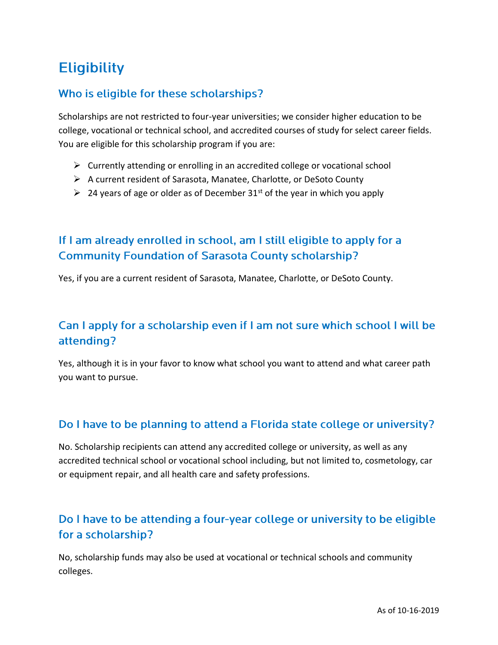## **Eligibility**

## Who is eligible for these scholarships?

Scholarships are not restricted to four-year universities; we consider higher education to be college, vocational or technical school, and accredited courses of study for select career fields. You are eligible for this scholarship program if you are:

- $\triangleright$  Currently attending or enrolling in an accredited college or vocational school
- ➢ A current resident of Sarasota, Manatee, Charlotte, or DeSoto County
- $\geq 24$  years of age or older as of December 31<sup>st</sup> of the year in which you apply

## If I am already enrolled in school, am I still eligible to apply for a **Community Foundation of Sarasota County scholarship?**

Yes, if you are a current resident of Sarasota, Manatee, Charlotte, or DeSoto County.

## Can I apply for a scholarship even if I am not sure which school I will be attending?

Yes, although it is in your favor to know what school you want to attend and what career path you want to pursue.

## Do I have to be planning to attend a Florida state college or university?

No. Scholarship recipients can attend any accredited college or university, as well as any accredited technical school or vocational school including, but not limited to, cosmetology, car or equipment repair, and all health care and safety professions.

## Do I have to be attending a four-year college or university to be eligible for a scholarship?

No, scholarship funds may also be used at vocational or technical schools and community colleges.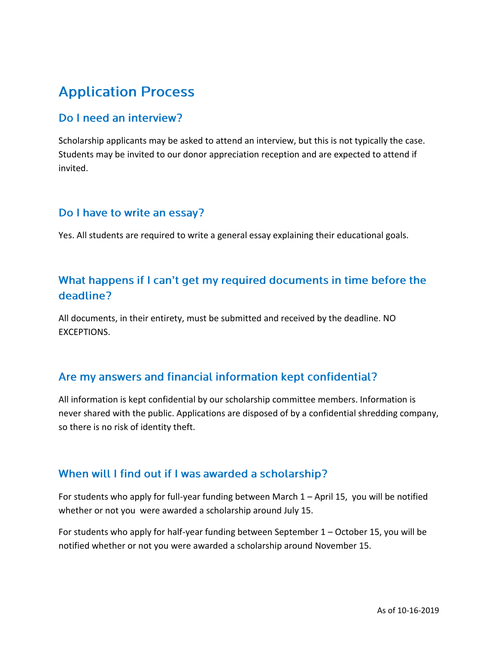## **Application Process**

#### Do I need an interview?

Scholarship applicants may be asked to attend an interview, but this is not typically the case. Students may be invited to our donor appreciation reception and are expected to attend if invited.

#### Do I have to write an essay?

Yes. All students are required to write a general essay explaining their educational goals.

### What happens if I can't get my required documents in time before the deadline?

All documents, in their entirety, must be submitted and received by the deadline. NO EXCEPTIONS.

#### Are my answers and financial information kept confidential?

All information is kept confidential by our scholarship committee members. Information is never shared with the public. Applications are disposed of by a confidential shredding company, so there is no risk of identity theft.

#### When will I find out if I was awarded a scholarship?

For students who apply for full-year funding between March 1 – April 15, you will be notified whether or not you were awarded a scholarship around July 15.

For students who apply for half-year funding between September 1 – October 15, you will be notified whether or not you were awarded a scholarship around November 15.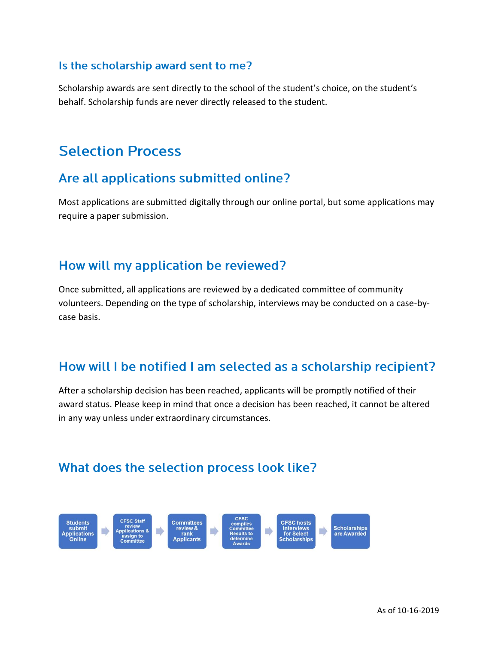#### Is the scholarship award sent to me?

Scholarship awards are sent directly to the school of the student's choice, on the student's behalf. Scholarship funds are never directly released to the student.

## **Selection Process**

## Are all applications submitted online?

Most applications are submitted digitally through our online portal, but some applications may require a paper submission.

## How will my application be reviewed?

Once submitted, all applications are reviewed by a dedicated committee of community volunteers. Depending on the type of scholarship, interviews may be conducted on a case-bycase basis.

## How will I be notified I am selected as a scholarship recipient?

After a scholarship decision has been reached, applicants will be promptly notified of their award status. Please keep in mind that once a decision has been reached, it cannot be altered in any way unless under extraordinary circumstances.

## What does the selection process look like?

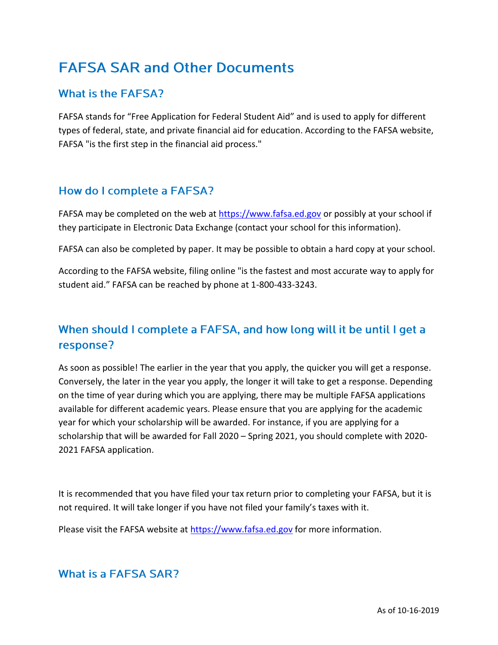## **FAFSA SAR and Other Documents**

### **What is the FAFSA?**

FAFSA stands for "Free Application for Federal Student Aid" and is used to apply for different types of federal, state, and private financial aid for education. According to the FAFSA website, FAFSA "is the first step in the financial aid process."

### How do I complete a FAFSA?

FAFSA may be completed on the web at [https://www.fafsa.ed.gov](https://www.fafsa.ed.gov/) or possibly at your school if they participate in Electronic Data Exchange (contact your school for this information).

FAFSA can also be completed by paper. It may be possible to obtain a hard copy at your school.

According to the FAFSA website, filing online "is the fastest and most accurate way to apply for student aid." FAFSA can be reached by phone at 1-800-433-3243.

## When should I complete a FAFSA, and how long will it be until I get a response?

As soon as possible! The earlier in the year that you apply, the quicker you will get a response. Conversely, the later in the year you apply, the longer it will take to get a response. Depending on the time of year during which you are applying, there may be multiple FAFSA applications available for different academic years. Please ensure that you are applying for the academic year for which your scholarship will be awarded. For instance, if you are applying for a scholarship that will be awarded for Fall 2020 – Spring 2021, you should complete with 2020- 2021 FAFSA application.

It is recommended that you have filed your tax return prior to completing your FAFSA, but it is not required. It will take longer if you have not filed your family's taxes with it.

Please visit the FAFSA website at [https://www.fafsa.ed.gov](https://www.fafsa.ed.gov/) for more information.

#### **What is a FAFSA SAR?**